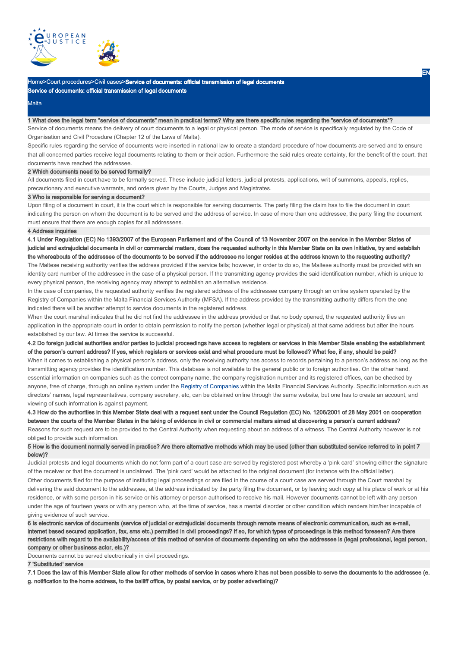

## **Malta**

### 1 What does the legal term "service of documents" mean in practical terms? Why are there specific rules regarding the "service of documents"?

Service of documents means the delivery of court documents to a legal or physical person. The mode of service is specifically regulated by the Code of Organisation and Civil Procedure (Chapter 12 of the Laws of Malta).

Specific rules regarding the service of documents were inserted in national law to create a standard procedure of how documents are served and to ensure that all concerned parties receive legal documents relating to them or their action. Furthermore the said rules create certainty, for the benefit of the court, that documents have reached the addressee.

## 2 Which documents need to be served formally?

All documents filed in court have to be formally served. These include judicial letters, judicial protests, applications, writ of summons, appeals, replies, precautionary and executive warrants, and orders given by the Courts, Judges and Magistrates.

## 3 Who is responsible for serving a document?

Upon filing of a document in court, it is the court which is responsible for serving documents. The party filing the claim has to file the document in court indicating the person on whom the document is to be served and the address of service. In case of more than one addressee, the party filing the document must ensure that there are enough copies for all addressees.

## 4 Address inquiries

4.1 Under Regulation (EC) No 1393/2007 of the European Parliament and of the Council of 13 November 2007 on the service in the Member States of judicial and extrajudicial documents in civil or commercial matters, does the requested authority in this Member State on its own initiative, try and establish the whereabouts of the addressee of the documents to be served if the addressee no longer resides at the address known to the requesting authority?

The Maltese receiving authority verifies the address provided if the service fails; however, in order to do so, the Maltese authority must be provided with an identity card number of the addressee in the case of a physical person. If the transmitting agency provides the said identification number, which is unique to every physical person, the receiving agency may attempt to establish an alternative residence.

In the case of companies, the requested authority verifies the registered address of the addressee company through an online system operated by the Registry of Companies within the Malta Financial Services Authority (MFSA). If the address provided by the transmitting authority differs from the one indicated there will be another attempt to service documents in the registered address.

When the court marshal indicates that he did not find the addressee in the address provided or that no body opened, the requested authority files an application in the appropriate court in order to obtain permission to notify the person (whether legal or physical) at that same address but after the hours established by our law. At times the service is successful.

## 4.2 Do foreign judicial authorities and/or parties to judicial proceedings have access to registers or services in this Member State enabling the establishment of the person's current address? If yes, which registers or services exist and what procedure must be followed? What fee, if any, should be paid?

When it comes to establishing a physical person's address, only the receiving authority has access to records pertaining to a person's address as long as the transmitting agency provides the identification number. This database is not available to the general public or to foreign authorities. On the other hand, essential information on companies such as the correct company name, the company registration number and its registered offices, can be checked by anyone, free of charge, through an online system under the Registry of Companies within the Malta Financial Services Authority. Specific information such as directors' names, legal representatives, company secretary, etc, can be obtained online through the same website, but one has to create an account, and viewing of such information is against payment.

# 4.3 How do the authorities in this Member State deal with a request sent under the Council Regulation (EC) No. 1206/2001 of 28 May 2001 on cooperation between the courts of the Member States in the taking of evidence in civil or commercial matters aimed at discovering a person's current address?

Reasons for such request are to be provided to the Central Authority when requesting about an address of a witness. The Central Authority however is not obliged to provide such information.

## 5 How is the document normally served in practice? Are there alternative methods which may be used (other than substituted service referred to in point 7 below)?

Judicial protests and legal documents which do not form part of a court case are served by registered post whereby a 'pink card' showing either the signature of the receiver or that the document is unclaimed. The 'pink card' would be attached to the original document (for instance with the official letter). Other documents filed for the purpose of instituting legal proceedings or are filed in the course of a court case are served through the Court marshal by delivering the said document to the addressee, at the address indicated by the party filing the document, or by leaving such copy at his place of work or at his residence, or with some person in his service or his attorney or person authorised to receive his mail. However documents cannot be left with any person under the age of fourteen years or with any person who, at the time of service, has a mental disorder or other condition which renders him/her incapable of giving evidence of such service.

6 Is electronic service of documents (service of judicial or extrajudicial documents through remote means of electronic communication, such as e-mail, internet based secured application, fax, sms etc.) permitted in civil proceedings? If so, for which types of proceedings is this method foreseen? Are there restrictions with regard to the availability/access of this method of service of documents depending on who the addressee is (legal professional, legal person, company or other business actor, etc.)?

Documents cannot be served electronically in civil proceedings.

### 7 'Substituted' service

7.1 Does the law of this Member State allow for other methods of service in cases where it has not been possible to serve the documents to the addressee (e. g. notification to the home address, to the bailiff office, by postal service, or by poster advertising)?

EN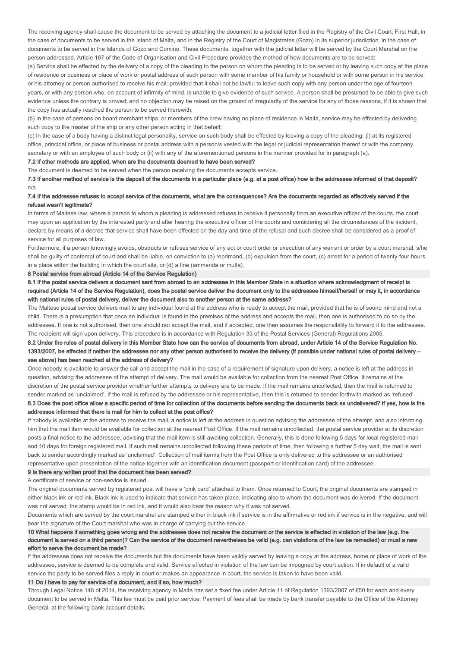The receiving agency shall cause the document to be served by attaching the document to a judicial letter filed in the Registry of the Civil Court, First Hall, in the case of documents to be served in the Island of Malta, and in the Registry of the Court of Magistrates (Gozo) in its superior jurisdiction, in the case of documents to be served in the Islands of Gozo and Comino. These documents, together with the judicial letter will be served by the Court Marshal on the person addressed. Article 187 of the Code of Organisation and Civil Procedure provides the method of how documents are to be served:

(a) Service shall be effected by the delivery of a copy of the pleading to the person on whom the pleading is to be served or by leaving such copy at the place of residence or business or place of work or postal address of such person with some member of his family or household or with some person in his service or his attorney or person authorised to receive his mail: provided that it shall not be lawful to leave such copy with any person under the age of fourteen years, or with any person who, on account of infirmity of mind, is unable to give evidence of such service. A person shall be presumed to be able to give such evidence unless the contrary is proved; and no objection may be raised on the ground of irregularity of the service for any of those reasons, if it is shown that the copy has actually reached the person to be served therewith;

(b) In the case of persons on board merchant ships, or members of the crew having no place of residence in Malta, service may be effected by delivering such copy to the master of the ship or any other person acting in that behalf;

(c) In the case of a body having a distinct legal personality, service on such body shall be effected by leaving a copy of the pleading: (i) at its registered office, principal office, or place of business or postal address with a person/s vested with the legal or judicial representation thereof or with the company secretary or with an employee of such body or (ii) with any of the aforementioned persons in the manner provided for in paragraph (a).

7.2 If other methods are applied, when are the documents deemed to have been served?

The document is deemed to be served when the person receiving the documents accepts service.

7.3 If another method of service is the deposit of the documents in a particular place (e.g. at a post office) how is the addressee informed of that deposit? n/a

## 7.4 If the addressee refuses to accept service of the documents, what are the consequences? Are the documents regarded as effectively served if the refusal wasn't legitimate?

In terms of Maltese law, where a person to whom a pleading is addressed refuses to receive it personally from an executive officer of the courts, the court may upon an application by the interested party and after hearing the executive officer of the courts and considering all the circumstances of the incident, declare by means of a decree that service shall have been effected on the day and time of the refusal and such decree shall be considered as a proof of service for all purposes of law.

Furthermore, if a person knowingly avoids, obstructs or refuses service of any act or court order or execution of any warrant or order by a court marshal, s/he shall be guilty of contempt of court and shall be liable, on conviction to (a) reprimand, (b) expulsion from the court, (c) arrest for a period of twenty-four hours in a place within the building in which the court sits, or (d) a fine (ammenda or multa).

8 Postal service from abroad (Article 14 of the Service Regulation)

8.1 If the postal service delivers a document sent from abroad to an addressee in this Member State in a situation where acknowledgment of receipt is required (Article 14 of the Service Regulation), does the postal service deliver the document only to the addressee himself/herself or may it, in accordance with national rules of postal delivery, deliver the document also to another person at the same address?

The Maltese postal service delivers mail to any individual found at the address who is ready to accept the mail, provided that he is of sound mind and not a child. There is a presumption that once an individual is found in the premises of the address and accepts the mail, then one is authorised to do so by the addressee. If one is not authorised, then one should not accept the mail, and if accepted, one then assumes the responsibility to forward it to the addressee. The recipient will sign upon delivery. This procedure is in accordance with Regulation 33 of the Postal Services (General) Regulations 2005.

8.2 Under the rules of postal delivery in this Member State how can the service of documents from abroad, under Article 14 of the Service Regulation No. 1393/2007, be effected if neither the addressee nor any other person authorised to receive the delivery (if possible under national rules of postal delivery – see above) has been reached at the address of delivery?

Once nobody is available to answer the call and accept the mail in the case of a requirement of signature upon delivery, a notice is left at the address in question, advising the addressee of the attempt of delivery. The mail would be available for collection from the nearest Post Office. It remains at the discretion of the postal service provider whether further attempts to delivery are to be made. If the mail remains uncollected, then the mail is returned to sender marked as 'unclaimed'. If the mail is refused by the addressee or his representative, then this is returned to sender forthwith marked as 'refused'. 8.3 Does the post office allow a specific period of time for collection of the documents before sending the documents back as undelivered? If yes, how is the

# addressee informed that there is mail for him to collect at the post office? If nobody is available at the address to receive the mail, a notice is left at the address in question advising the addressee of the attempt, and also informing him that the mail item would be available for collection at the nearest Post Office. If the mail remains uncollected, the postal service provider at its discretion posts a final notice to the addressee, advising that the mail item is still awaiting collection. Generally, this is done following 5 days for local registered mail

and 10 days for foreign registered mail. If such mail remains uncollected following these periods of time, then following a further 5 day wait, the mail is sent back to sender accordingly marked as 'unclaimed'. Collection of mail item/s from the Post Office is only delivered to the addressee or an authorised representative upon presentation of the notice together with an identification document (passport or identification card) of the addressee.

#### 9 Is there any written proof that the document has been served?

A certificate of service or non-service is issued.

The original documents served by registered post will have a 'pink card' attached to them. Once returned to Court, the original documents are stamped in either black ink or red ink. Black ink is used to indicate that service has taken place, indicating also to whom the document was delivered. If the document was not served, the stamp would be in red ink, and it would also bear the reason why it was not served.

Documents which are served by the court marshal are stamped either in black ink if service is in the affirmative or red ink if service is in the negative, and will bear the signature of the Court marshal who was in charge of carrying out the service.

10 What happens if something goes wrong and the addressee does not receive the document or the service is effected in violation of the law (e.g. the document is served on a third person)? Can the service of the document nevertheless be valid (e.g. can violations of the law be remedied) or must a new effort to serve the document be made?

If the addressee does not receive the documents but the documents have been validly served by leaving a copy at the address, home or place of work of the addressee, service is deemed to be complete and valid. Service effected in violation of the law can be impugned by court action. If in default of a valid service the party to be served files a reply in court or makes an appearance in court, the service is taken to have been valid.

### 11 Do I have to pay for service of a document, and if so, how much?

Through Legal Notice 148 of 2014, the receiving agency in Malta has set a fixed fee under Article 11 of Regulation 1393/2007 of €50 for each and every document to be served in Malta. This fee must be paid prior service. Payment of fees shall be made by bank transfer payable to the Office of the Attorney General, at the following bank account details: